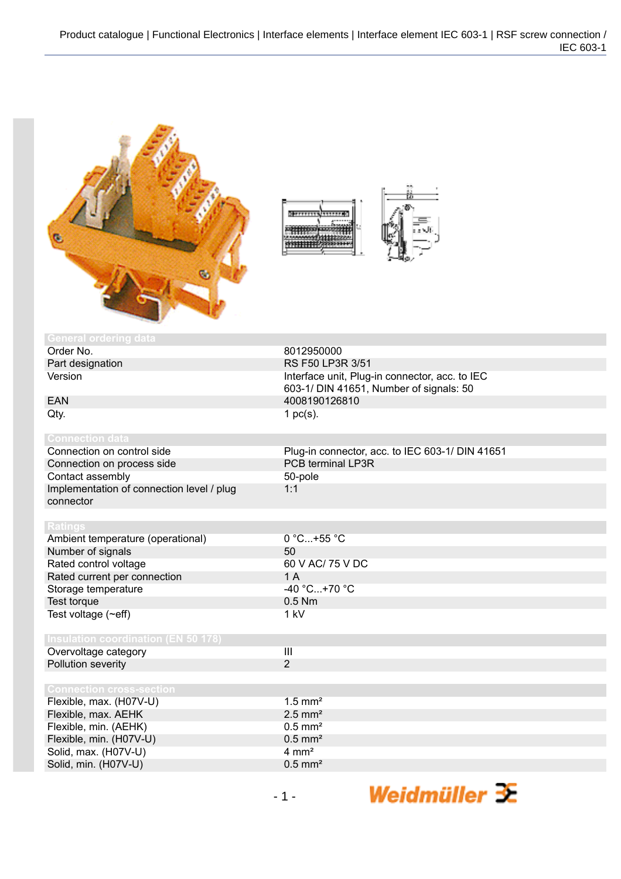

| 777.90<br>$0$ per respectively. |  |
|---------------------------------|--|
|                                 |  |

| <b>General ordering data</b>               |                                                 |
|--------------------------------------------|-------------------------------------------------|
| Order No.                                  | 8012950000                                      |
| Part designation                           | RS F50 LP3R 3/51                                |
| Version                                    | Interface unit, Plug-in connector, acc. to IEC  |
|                                            | 603-1/ DIN 41651, Number of signals: 50         |
| <b>EAN</b>                                 | 4008190126810                                   |
| Qty.                                       | 1 $pc(s)$ .                                     |
|                                            |                                                 |
| <b>Connection data</b>                     |                                                 |
| Connection on control side                 | Plug-in connector, acc. to IEC 603-1/ DIN 41651 |
| Connection on process side                 | <b>PCB terminal LP3R</b>                        |
| Contact assembly                           | 50-pole                                         |
| Implementation of connection level / plug  | 1:1                                             |
| connector                                  |                                                 |
|                                            |                                                 |
| <b>Ratings</b>                             |                                                 |
| Ambient temperature (operational)          | 0 °C+55 °C                                      |
| Number of signals                          | 50                                              |
| Rated control voltage                      | 60 V AC/ 75 V DC                                |
| Rated current per connection               | 1A                                              |
| Storage temperature                        | -40 °C+70 °C                                    |
| Test torque                                | $0.5$ Nm                                        |
| Test voltage (~eff)                        | 1 kV                                            |
|                                            |                                                 |
| <b>Insulation coordination (EN 50 178)</b> |                                                 |
| Overvoltage category                       | $\overline{\mathbf{III}}$                       |
| Pollution severity                         | $\overline{2}$                                  |
|                                            |                                                 |
| <b>Connection cross-section</b>            |                                                 |
| Flexible, max. (H07V-U)                    | $1.5$ mm <sup>2</sup>                           |
| Flexible, max. AEHK                        | $2.5$ mm <sup>2</sup>                           |
| Flexible, min. (AEHK)                      | $0.5$ mm <sup>2</sup>                           |
| Flexible, min. (H07V-U)                    | $0.5$ mm <sup>2</sup>                           |
| Solid, max. (H07V-U)                       | $4 \, \text{mm}^2$                              |
| Solid, min. (H07V-U)                       | $0.5$ mm <sup>2</sup>                           |
|                                            |                                                 |

Weidmüller 3E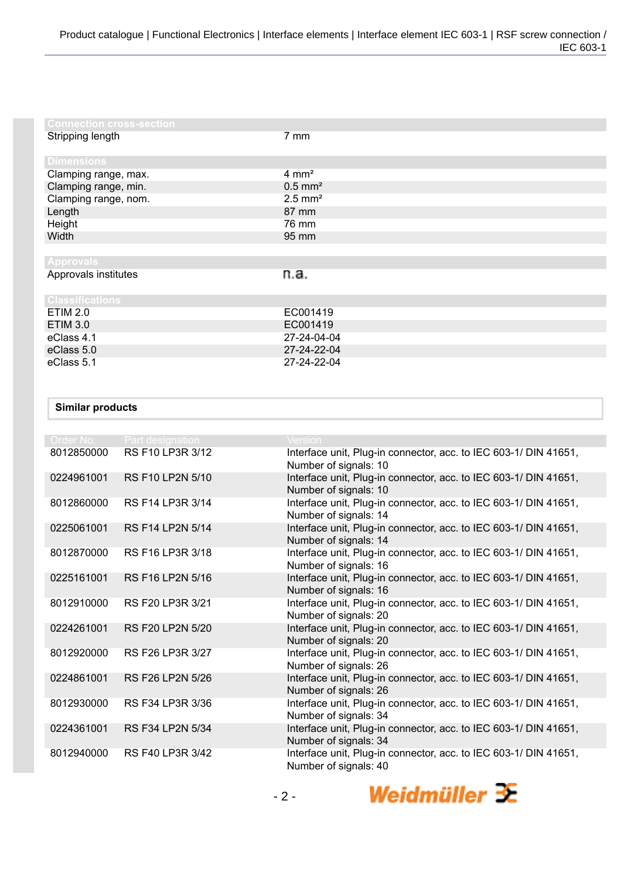| <b>Connection cross-section</b> |                       |
|---------------------------------|-----------------------|
| Stripping length                | $7 \text{ mm}$        |
| <b>Dimensions</b>               |                       |
| Clamping range, max.            | $4 \text{ mm}^2$      |
| Clamping range, min.            | $0.5$ mm <sup>2</sup> |
| Clamping range, nom.            | $2.5$ mm <sup>2</sup> |
| Length                          | 87 mm                 |
| Height                          | 76 mm                 |
| Width                           | 95 mm                 |
|                                 |                       |
| <b>Approvals</b>                |                       |
| Approvals institutes            | n.a.                  |
| <b>Classifications</b>          |                       |
| <b>ETIM 2.0</b>                 | EC001419              |
| <b>ETIM 3.0</b>                 | EC001419              |
| eClass 4.1                      | 27-24-04-04           |
| eClass 5.0                      | 27-24-22-04           |
| eClass 5.1                      | 27-24-22-04           |

## **Similar products**

| Order No.  | Part designation        | Version                                                                                   |
|------------|-------------------------|-------------------------------------------------------------------------------------------|
| 8012850000 | RS F10 LP3R 3/12        | Interface unit, Plug-in connector, acc. to IEC 603-1/ DIN 41651,<br>Number of signals: 10 |
| 0224961001 | <b>RS F10 LP2N 5/10</b> | Interface unit, Plug-in connector, acc. to IEC 603-1/ DIN 41651,<br>Number of signals: 10 |
| 8012860000 | RS F14 LP3R 3/14        | Interface unit, Plug-in connector, acc. to IEC 603-1/ DIN 41651,<br>Number of signals: 14 |
| 0225061001 | <b>RS F14 LP2N 5/14</b> | Interface unit, Plug-in connector, acc. to IEC 603-1/ DIN 41651,<br>Number of signals: 14 |
| 8012870000 | RS F16 LP3R 3/18        | Interface unit, Plug-in connector, acc. to IEC 603-1/ DIN 41651,<br>Number of signals: 16 |
| 0225161001 | RS F16 LP2N 5/16        | Interface unit, Plug-in connector, acc. to IEC 603-1/ DIN 41651,<br>Number of signals: 16 |
| 8012910000 | RS F20 LP3R 3/21        | Interface unit, Plug-in connector, acc. to IEC 603-1/ DIN 41651,<br>Number of signals: 20 |
| 0224261001 | <b>RS F20 LP2N 5/20</b> | Interface unit, Plug-in connector, acc. to IEC 603-1/ DIN 41651,<br>Number of signals: 20 |
| 8012920000 | RS F26 LP3R 3/27        | Interface unit, Plug-in connector, acc. to IEC 603-1/ DIN 41651,<br>Number of signals: 26 |
| 0224861001 | RS F26 LP2N 5/26        | Interface unit, Plug-in connector, acc. to IEC 603-1/ DIN 41651,<br>Number of signals: 26 |
| 8012930000 | RS F34 LP3R 3/36        | Interface unit, Plug-in connector, acc. to IEC 603-1/ DIN 41651,<br>Number of signals: 34 |
| 0224361001 | RS F34 LP2N 5/34        | Interface unit, Plug-in connector, acc. to IEC 603-1/ DIN 41651,<br>Number of signals: 34 |
| 8012940000 | RS F40 LP3R 3/42        | Interface unit, Plug-in connector, acc. to IEC 603-1/ DIN 41651,<br>Number of signals: 40 |